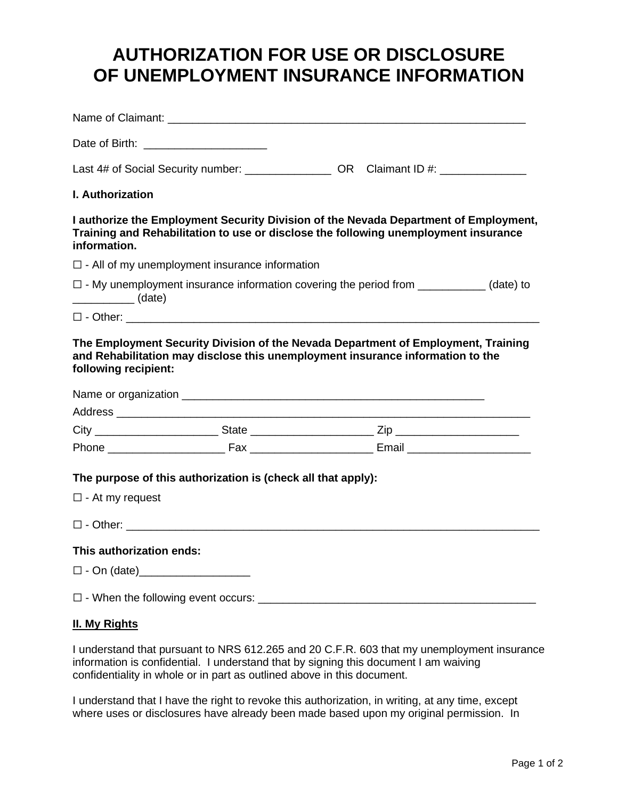## **AUTHORIZATION FOR USE OR DISCLOSURE OF UNEMPLOYMENT INSURANCE INFORMATION**

|                                    | Date of Birth: <u>_______________________</u>                |                                                                                                                                                                             |
|------------------------------------|--------------------------------------------------------------|-----------------------------------------------------------------------------------------------------------------------------------------------------------------------------|
|                                    |                                                              | Last 4# of Social Security number: _________________ OR Claimant ID #: __________                                                                                           |
| <b>I. Authorization</b>            |                                                              |                                                                                                                                                                             |
| information.                       |                                                              | I authorize the Employment Security Division of the Nevada Department of Employment,<br>Training and Rehabilitation to use or disclose the following unemployment insurance |
|                                    | $\Box$ - All of my unemployment insurance information        |                                                                                                                                                                             |
| $\overline{\qquad \qquad }$ (date) |                                                              | $\Box$ - My unemployment insurance information covering the period from ___________(date) to                                                                                |
|                                    |                                                              |                                                                                                                                                                             |
| following recipient:               |                                                              |                                                                                                                                                                             |
|                                    |                                                              |                                                                                                                                                                             |
|                                    |                                                              |                                                                                                                                                                             |
|                                    | The purpose of this authorization is (check all that apply): |                                                                                                                                                                             |
| $\square$ - At my request          |                                                              |                                                                                                                                                                             |
|                                    |                                                              |                                                                                                                                                                             |
| This authorization ends:           |                                                              |                                                                                                                                                                             |
| $\square$ - On (date)              |                                                              |                                                                                                                                                                             |
|                                    |                                                              |                                                                                                                                                                             |

## **II. My Rights**

I understand that pursuant to NRS 612.265 and 20 C.F.R. 603 that my unemployment insurance information is confidential. I understand that by signing this document I am waiving confidentiality in whole or in part as outlined above in this document.

I understand that I have the right to revoke this authorization, in writing, at any time, except where uses or disclosures have already been made based upon my original permission. In